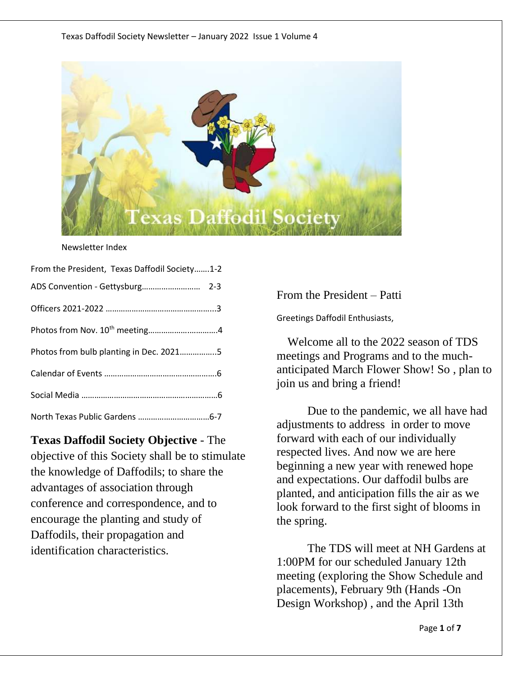

#### Newsletter Index

| From the President, Texas Daffodil Society1-2 |
|-----------------------------------------------|
|                                               |
|                                               |
|                                               |
| Photos from bulb planting in Dec. 20215       |
|                                               |
|                                               |
|                                               |

**Texas Daffodil Society Objective** - The objective of this Society shall be to stimulate the knowledge of Daffodils; to share the advantages of association through conference and correspondence, and to encourage the planting and study of Daffodils, their propagation and identification characteristics.

From the President – Patti

Greetings Daffodil Enthusiasts,

 Welcome all to the 2022 season of TDS meetings and Programs and to the muchanticipated March Flower Show! So , plan to join us and bring a friend!

Due to the pandemic, we all have had adjustments to address in order to move forward with each of our individually respected lives. And now we are here beginning a new year with renewed hope and expectations. Our daffodil bulbs are planted, and anticipation fills the air as we look forward to the first sight of blooms in the spring.

The TDS will meet at NH Gardens at 1:00PM for our scheduled January 12th meeting (exploring the Show Schedule and placements), February 9th (Hands -On Design Workshop) , and the April 13th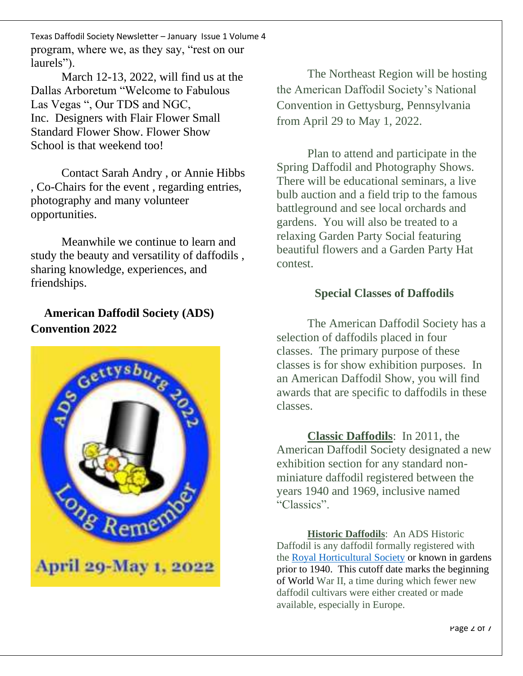Texas Daffodil Society Newsletter – January Issue 1 Volume 4 program, where we, as they say, "rest on our laurels").

March 12-13, 2022, will find us at the Dallas Arboretum "Welcome to Fabulous Las Vegas ", Our TDS and NGC, Inc. Designers with Flair Flower Small Standard Flower Show. Flower Show School is that weekend too!

Contact Sarah Andry , or Annie Hibbs , Co-Chairs for the event , regarding entries, photography and many volunteer opportunities.

Meanwhile we continue to learn and study the beauty and versatility of daffodils , sharing knowledge, experiences, and friendships.

## **American Daffodil Society (ADS) Convention 2022**



The Northeast Region will be hosting the American Daffodil Society's National Convention in Gettysburg, Pennsylvania from April 29 to May 1, 2022.

Plan to attend and participate in the Spring Daffodil and Photography Shows. There will be educational seminars, a live bulb auction and a field trip to the famous battleground and see local orchards and gardens. You will also be treated to a relaxing Garden Party Social featuring beautiful flowers and a Garden Party Hat contest.

## **Special Classes of Daffodils**

The American Daffodil Society has a selection of daffodils placed in four classes. The primary purpose of these classes is for show exhibition purposes. In an American Daffodil Show, you will find awards that are specific to daffodils in these classes.

**Classic Daffodils**: In 2011, the American Daffodil Society designated a new exhibition section for any standard nonminiature daffodil registered between the years 1940 and 1969, inclusive named "Classics".

**Historic Daffodils**: An ADS Historic Daffodil is any daffodil formally registered with the Royal [Horticultural](https://www.rhs.org.uk/) Society or known in gardens prior to 1940. This cutoff date marks the beginning of World War II, a time during which fewer new daffodil cultivars were either created or made available, especially in Europe.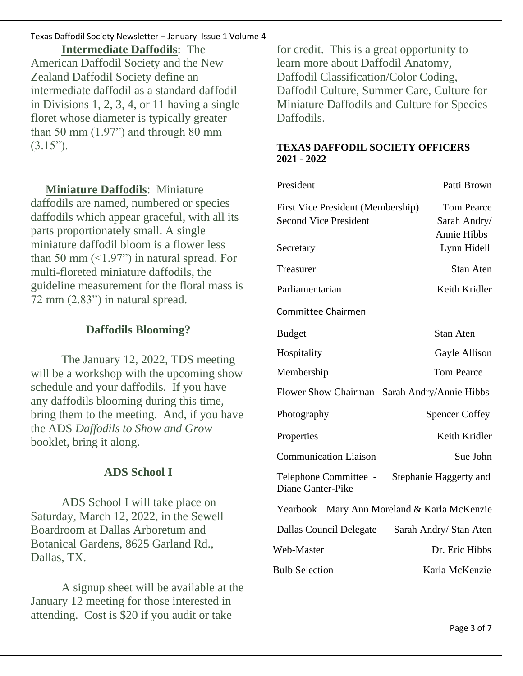#### Texas Daffodil Society Newsletter – January Issue 1 Volume 4

**Intermediate Daffodils**: The American Daffodil Society and the New Zealand Daffodil Society define an intermediate daffodil as a standard daffodil in Divisions 1, 2, 3, 4, or 11 having a single floret whose diameter is typically greater than 50 mm  $(1.97)$  and through 80 mm  $(3.15")$ .

 **Miniature Daffodils**: Miniature daffodils are named, numbered or species daffodils which appear graceful, with all its parts proportionately small. A single miniature daffodil bloom is a flower less than 50 mm  $\left($  <1.97") in natural spread. For multi-floreted miniature daffodils, the guideline measurement for the floral mass is 72 mm (2.83") in natural spread.

#### **Daffodils Blooming?**

The January 12, 2022, TDS meeting will be a workshop with the upcoming show schedule and your daffodils. If you have any daffodils blooming during this time, bring them to the meeting. And, if you have the ADS *Daffodils to Show and Grow* booklet, bring it along.

#### **ADS School I**

ADS School I will take place on Saturday, March 12, 2022, in the Sewell Boardroom at Dallas Arboretum and Botanical Gardens, 8625 Garland Rd., Dallas, TX.

A signup sheet will be available at the January 12 meeting for those interested in attending. Cost is \$20 if you audit or take

for credit. This is a great opportunity to learn more about Daffodil Anatomy, Daffodil Classification/Color Coding, Daffodil Culture, Summer Care, Culture for Miniature Daffodils and Culture for Species Daffodils.

#### **TEXAS DAFFODIL SOCIETY OFFICERS 2021 - 2022**

| President                                                         | Patti Brown                                      |
|-------------------------------------------------------------------|--------------------------------------------------|
| First Vice President (Membership)<br><b>Second Vice President</b> | <b>Tom Pearce</b><br>Sarah Andry/<br>Annie Hibbs |
| Secretary                                                         | Lynn Hidell                                      |
| Treasurer                                                         | <b>Stan Aten</b>                                 |
| Parliamentarian                                                   | Keith Kridler                                    |
| <b>Committee Chairmen</b>                                         |                                                  |
| <b>Budget</b>                                                     | Stan Aten                                        |
| Hospitality                                                       | Gayle Allison                                    |
| Membership                                                        | <b>Tom Pearce</b>                                |
| Flower Show Chairman Sarah Andry/Annie Hibbs                      |                                                  |
| Photography                                                       | <b>Spencer Coffey</b>                            |
| Properties                                                        | Keith Kridler                                    |
| <b>Communication Liaison</b>                                      | Sue John                                         |
| Telephone Committee -<br>Diane Ganter-Pike                        | Stephanie Haggerty and                           |
| Mary Ann Moreland & Karla McKenzie<br>Yearbook                    |                                                  |
| Dallas Council Delegate                                           | Sarah Andry/ Stan Aten                           |
| Web-Master                                                        | Dr. Eric Hibbs                                   |
| <b>Bulb Selection</b>                                             | Karla McKenzie                                   |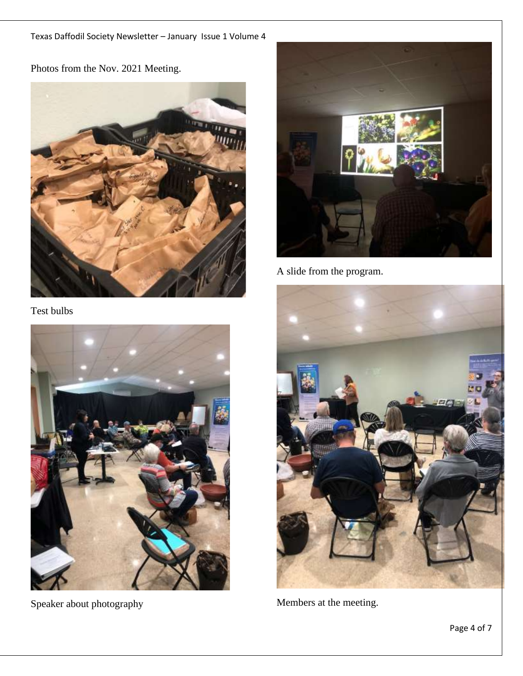Photos from the Nov. 2021 Meeting.



Test bulbs



Speaker about photography



A slide from the program.



Members at the meeting.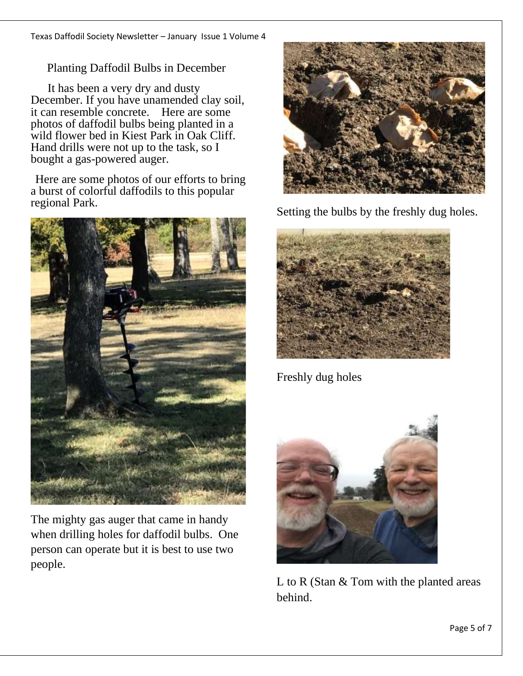Planting Daffodil Bulbs in December

 It has been a very dry and dusty December. If you have unamended clay soil, it can resemble concrete. Here are some photos of daffodil bulbs being planted in a wild flower bed in Kiest Park in Oak Cliff. Hand drills were not up to the task, so I bought a gas-powered auger.

Here are some photos of our efforts to bring a burst of colorful daffodils to this popular regional Park.



The mighty gas auger that came in handy when drilling holes for daffodil bulbs. One person can operate but it is best to use two people.



Setting the bulbs by the freshly dug holes.



Freshly dug holes



L to R (Stan & Tom with the planted areas behind.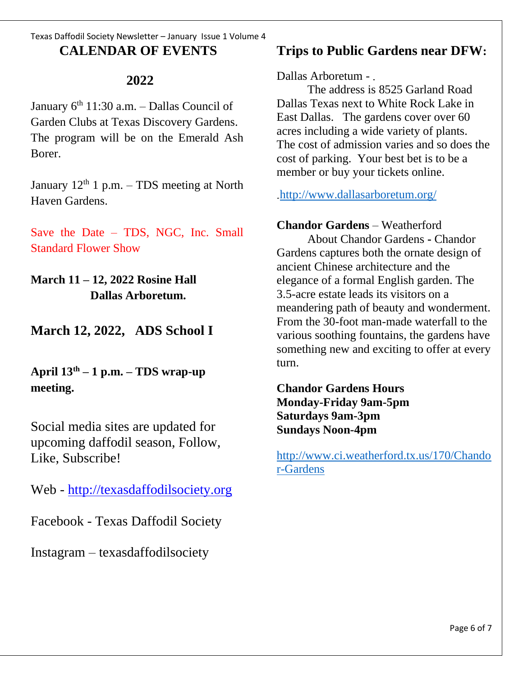### Texas Daffodil Society Newsletter – January Issue 1 Volume 4 **CALENDAR OF EVENTS**

## **2022**

January 6<sup>th</sup> 11:30 a.m. – Dallas Council of Garden Clubs at Texas Discovery Gardens. The program will be on the Emerald Ash Borer.

January  $12<sup>th</sup> 1 p.m. - TDS meeting at North$ Haven Gardens.

Save the Date – TDS, NGC, Inc. Small Standard Flower Show

**March 11 – 12, 2022 Rosine Hall Dallas Arboretum.**

**March 12, 2022, ADS School I**

**April 13th – 1 p.m. – TDS wrap-up meeting.** 

Social media sites are updated for upcoming daffodil season, Follow, Like, Subscribe!

Web - [http://texasdaffodilsociety.org](about:blank)

Facebook - Texas Daffodil Society

Instagram – texasdaffodilsociety

# **Trips to Public Gardens near DFW:**

Dallas Arboretum -

The address is 8525 Garland Road Dallas Texas next to White Rock Lake in East Dallas. The gardens cover over 60 acres including a wide variety of plants. The cost of admission varies and so does the cost of parking. Your best bet is to be a member or buy your tickets online.

[http://www.dallasarboretum.org/](about:blank)

**Chandor Gardens** – Weatherford

About Chandor Gardens **-** Chandor Gardens captures both the ornate design of ancient Chinese architecture and the elegance of a formal English garden. The 3.5-acre estate leads its visitors on a meandering path of beauty and wonderment. From the 30-foot man-made waterfall to the various soothing fountains, the gardens have something new and exciting to offer at every turn.

**Chandor Gardens Hours Monday-Friday 9am-5pm Saturdays 9am-3pm Sundays Noon-4pm**

[http://www.ci.weatherford.tx.us/170/Chando](about:blank) [r-Gardens](about:blank)